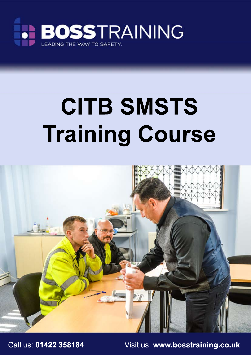

## **CITB SMSTS Training Course**



Call us: **01422 358184** Visit us: **www.bosstraining.co.uk**